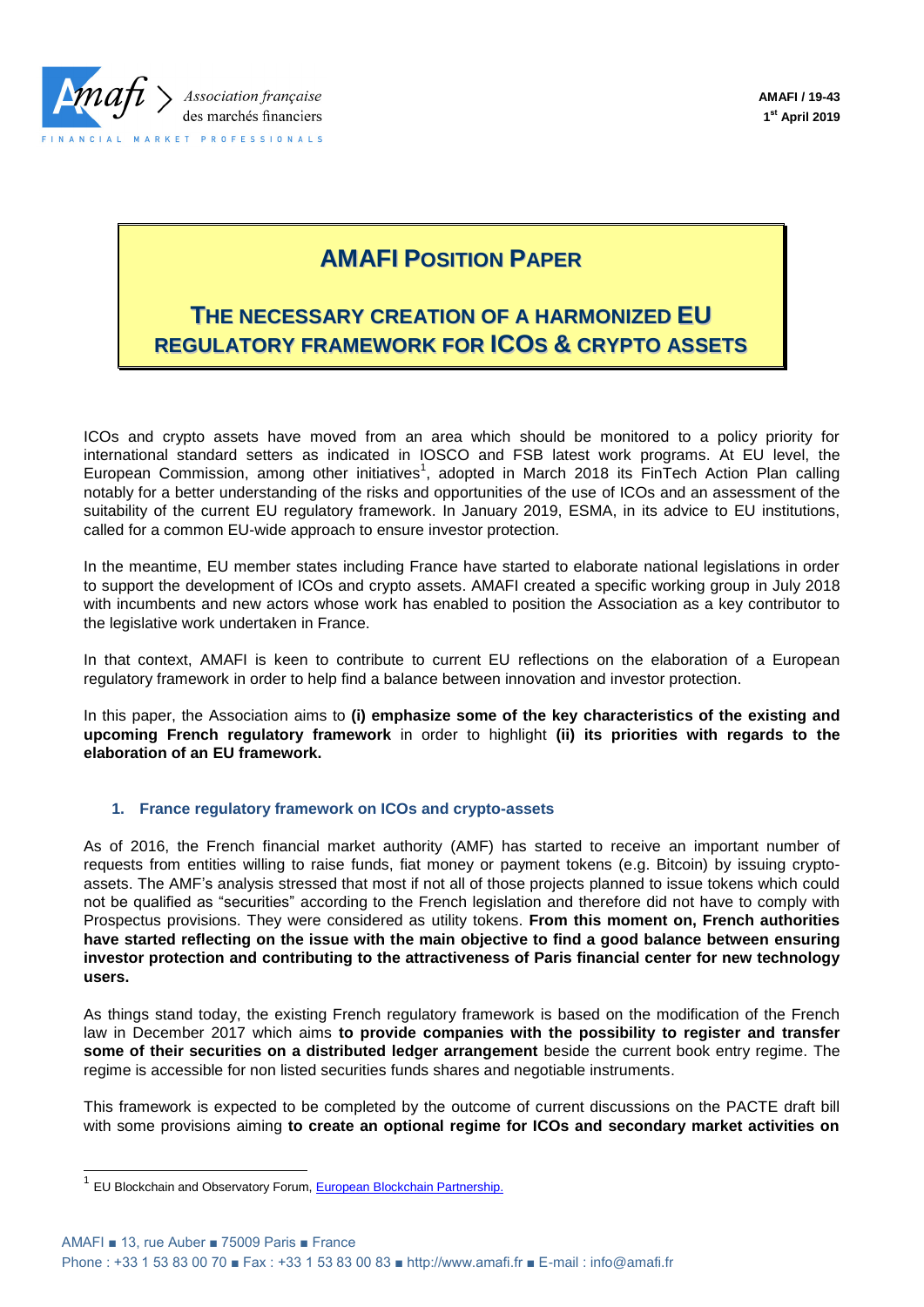

# **AMAFI POSITION PAPER**

## **THE NECESSARY CREATION OF A HARMONIZED EU REGULATORY FRAMEWORK FOR ICOS & CRYPTO ASSETS**

ICOs and crypto assets have moved from an area which should be monitored to a policy priority for international standard setters as indicated in IOSCO and FSB latest work programs. At EU level, the European Commission, among other initiatives<sup>1</sup>, adopted in March 2018 its FinTech Action Plan calling notably for a better understanding of the risks and opportunities of the use of ICOs and an assessment of the suitability of the current EU regulatory framework. In January 2019, ESMA, in its advice to EU institutions, called for a common EU-wide approach to ensure investor protection.

In the meantime, EU member states including France have started to elaborate national legislations in order to support the development of ICOs and crypto assets. AMAFI created a specific working group in July 2018 with incumbents and new actors whose work has enabled to position the Association as a key contributor to the legislative work undertaken in France.

In that context, AMAFI is keen to contribute to current EU reflections on the elaboration of a European regulatory framework in order to help find a balance between innovation and investor protection.

In this paper, the Association aims to **(i) emphasize some of the key characteristics of the existing and upcoming French regulatory framework** in order to highlight **(ii) its priorities with regards to the elaboration of an EU framework.**

## **1. France regulatory framework on ICOs and crypto-assets**

As of 2016, the French financial market authority (AMF) has started to receive an important number of requests from entities willing to raise funds, fiat money or payment tokens (e.g. Bitcoin) by issuing cryptoassets. The AMF's analysis stressed that most if not all of those projects planned to issue tokens which could not be qualified as "securities" according to the French legislation and therefore did not have to comply with Prospectus provisions. They were considered as utility tokens. **From this moment on, French authorities have started reflecting on the issue with the main objective to find a good balance between ensuring investor protection and contributing to the attractiveness of Paris financial center for new technology users.**

As things stand today, the existing French regulatory framework is based on the modification of the French law in December 2017 which aims **to provide companies with the possibility to register and transfer some of their securities on a distributed ledger arrangement** beside the current book entry regime. The regime is accessible for non listed securities funds shares and negotiable instruments.

This framework is expected to be completed by the outcome of current discussions on the PACTE draft bill with some provisions aiming **to create an optional regime for ICOs and secondary market activities on** 

-

<sup>&</sup>lt;sup>1</sup> EU Blockchain and Observatory Forum[, European Blockchain Partnership.](https://ec.europa.eu/digital-single-market/en/news/european-countries-join-blockchain-partnership)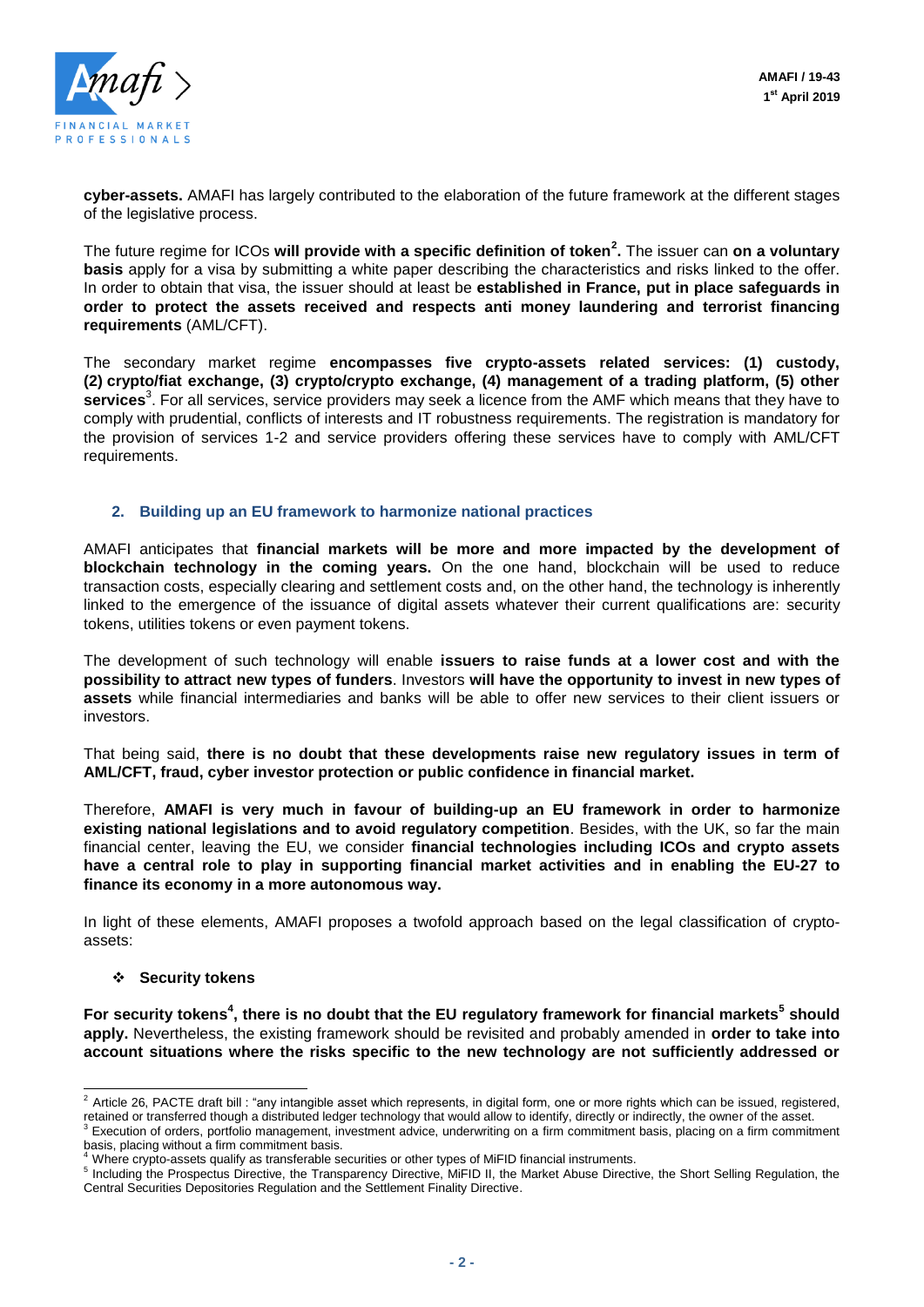

**cyber-assets.** AMAFI has largely contributed to the elaboration of the future framework at the different stages of the legislative process.

The future regime for ICOs **will provide with a specific definition of token<sup>2</sup> .** The issuer can **on a voluntary basis** apply for a visa by submitting a white paper describing the characteristics and risks linked to the offer. In order to obtain that visa, the issuer should at least be **established in France, put in place safeguards in order to protect the assets received and respects anti money laundering and terrorist financing requirements** (AML/CFT).

The secondary market regime **encompasses five crypto-assets related services: (1) custody, (2) crypto/fiat exchange, (3) crypto/crypto exchange, (4) management of a trading platform, (5) other**  services<sup>3</sup>. For all services, service providers may seek a licence from the AMF which means that they have to comply with prudential, conflicts of interests and IT robustness requirements. The registration is mandatory for the provision of services 1-2 and service providers offering these services have to comply with AML/CFT requirements.

## **2. Building up an EU framework to harmonize national practices**

AMAFI anticipates that **financial markets will be more and more impacted by the development of blockchain technology in the coming years.** On the one hand, blockchain will be used to reduce transaction costs, especially clearing and settlement costs and, on the other hand, the technology is inherently linked to the emergence of the issuance of digital assets whatever their current qualifications are: security tokens, utilities tokens or even payment tokens.

The development of such technology will enable **issuers to raise funds at a lower cost and with the possibility to attract new types of funders**. Investors **will have the opportunity to invest in new types of assets** while financial intermediaries and banks will be able to offer new services to their client issuers or investors.

That being said, **there is no doubt that these developments raise new regulatory issues in term of AML/CFT, fraud, cyber investor protection or public confidence in financial market.**

Therefore, **AMAFI is very much in favour of building-up an EU framework in order to harmonize existing national legislations and to avoid regulatory competition**. Besides, with the UK, so far the main financial center, leaving the EU, we consider **financial technologies including ICOs and crypto assets have a central role to play in supporting financial market activities and in enabling the EU-27 to finance its economy in a more autonomous way.**

In light of these elements, AMAFI proposes a twofold approach based on the legal classification of cryptoassets:

#### **Security tokens**

-

For security tokens<sup>4</sup>, there is no doubt that the EU regulatory framework for financial markets<sup>5</sup> should **apply.** Nevertheless, the existing framework should be revisited and probably amended in **order to take into account situations where the risks specific to the new technology are not sufficiently addressed or** 

 $^2$  Article 26, PACTE draft bill : "any intangible asset which represents, in digital form, one or more rights which can be issued, registered, retained or transferred though a distributed ledger technology that would allow to identify, directly or indirectly, the owner of the asset.

<sup>3</sup> Execution of orders, portfolio management, investment advice, underwriting on a firm commitment basis, placing on a firm commitment basis, placing without a firm commitment basis.

<sup>4</sup> Where crypto-assets qualify as transferable securities or other types of MiFID financial instruments.

<sup>&</sup>lt;sup>5</sup> Including the Prospectus Directive, the Transparency Directive, MiFID II, the Market Abuse Directive, the Short Selling Regulation, the Central Securities Depositories Regulation and the Settlement Finality Directive.